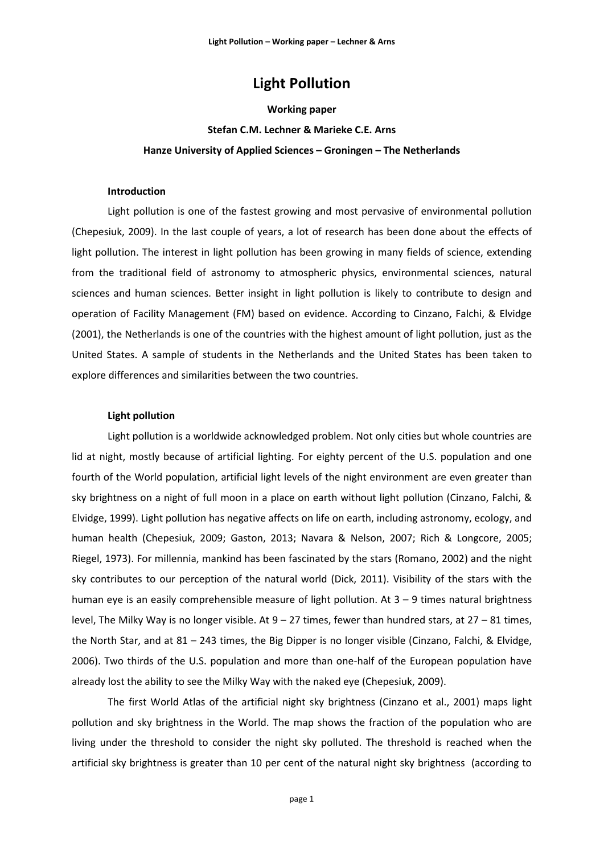# **Light Pollution**

#### **Working paper**

# **Stefan C.M. Lechner & Marieke C.E. Arns Hanze University of Applied Sciences – Groningen – The Netherlands**

# **Introduction**

Light pollution is one of the fastest growing and most pervasive of environmental pollution (Chepesiuk, 2009). In the last couple of years, a lot of research has been done about the effects of light pollution. The interest in light pollution has been growing in many fields of science, extending from the traditional field of astronomy to atmospheric physics, environmental sciences, natural sciences and human sciences. Better insight in light pollution is likely to contribute to design and operation of Facility Management (FM) based on evidence. According to Cinzano, Falchi, & Elvidge (2001), the Netherlands is one of the countries with the highest amount of light pollution, just as the United States. A sample of students in the Netherlands and the United States has been taken to explore differences and similarities between the two countries.

# **Light pollution**

Light pollution is a worldwide acknowledged problem. Not only cities but whole countries are lid at night, mostly because of artificial lighting. For eighty percent of the U.S. population and one fourth of the World population, artificial light levels of the night environment are even greater than sky brightness on a night of full moon in a place on earth without light pollution (Cinzano, Falchi, & Elvidge, 1999). Light pollution has negative affects on life on earth, including astronomy, ecology, and human health (Chepesiuk, 2009; Gaston, 2013; Navara & Nelson, 2007; Rich & Longcore, 2005; Riegel, 1973). For millennia, mankind has been fascinated by the stars (Romano, 2002) and the night sky contributes to our perception of the natural world (Dick, 2011). Visibility of the stars with the human eye is an easily comprehensible measure of light pollution. At 3 – 9 times natural brightness level, The Milky Way is no longer visible. At 9 – 27 times, fewer than hundred stars, at 27 – 81 times, the North Star, and at 81 – 243 times, the Big Dipper is no longer visible (Cinzano, Falchi, & Elvidge, 2006). Two thirds of the U.S. population and more than one-half of the European population have already lost the ability to see the Milky Way with the naked eye (Chepesiuk, 2009).

The first World Atlas of the artificial night sky brightness (Cinzano et al., 2001) maps light pollution and sky brightness in the World. The map shows the fraction of the population who are living under the threshold to consider the night sky polluted. The threshold is reached when the artificial sky brightness is greater than 10 per cent of the natural night sky brightness (according to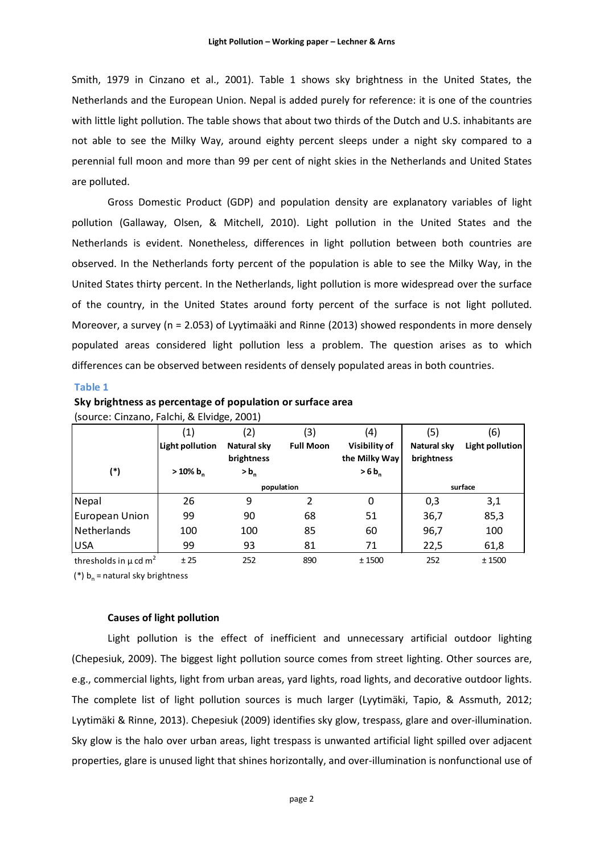Smith, 1979 in Cinzano et al., 2001). Table 1 shows sky brightness in the United States, the Netherlands and the European Union. Nepal is added purely for reference: it is one of the countries with little light pollution. The table shows that about two thirds of the Dutch and U.S. inhabitants are not able to see the Milky Way, around eighty percent sleeps under a night sky compared to a perennial full moon and more than 99 per cent of night skies in the Netherlands and United States are polluted.

Gross Domestic Product (GDP) and population density are explanatory variables of light pollution (Gallaway, Olsen, & Mitchell, 2010). Light pollution in the United States and the Netherlands is evident. Nonetheless, differences in light pollution between both countries are observed. In the Netherlands forty percent of the population is able to see the Milky Way, in the United States thirty percent. In the Netherlands, light pollution is more widespread over the surface of the country, in the United States around forty percent of the surface is not light polluted. Moreover, a survey (n = 2.053) of Lyytimaäki and Rinne (2013) showed respondents in more densely populated areas considered light pollution less a problem. The question arises as to which differences can be observed between residents of densely populated areas in both countries.

#### **Table 1**

| $\frac{1}{2}$                         |                   |                           |                  |                                |                           |                 |  |
|---------------------------------------|-------------------|---------------------------|------------------|--------------------------------|---------------------------|-----------------|--|
|                                       | $\left( 1\right)$ | (2)                       | (3)              | (4)                            | (5)                       | (6)             |  |
|                                       | Light pollution   | Natural sky<br>brightness | <b>Full Moon</b> | Visibility of<br>the Milky Way | Natural sky<br>brightness | Light pollution |  |
| $(*)$                                 | $>10\%$ b,        | $> b_n$                   |                  | $>6 b_n$                       |                           |                 |  |
|                                       |                   | population                |                  |                                | surface                   |                 |  |
| <b>Nepal</b>                          | 26                | 9                         |                  | 0                              | 0,3                       | 3,1             |  |
| European Union                        | 99                | 90                        | 68               | 51                             | 36,7                      | 85,3            |  |
| Netherlands                           | 100               | 100                       | 85               | 60                             | 96,7                      | 100             |  |
| <b>USA</b>                            | 99                | 93                        | 81               | 71                             | 22,5                      | 61,8            |  |
| thresholds in $\mu$ cd m <sup>2</sup> | ±25               | 252                       | 890              | ± 1500                         | 252                       | ± 1500          |  |

| Sky brightness as percentage of population or surface area |
|------------------------------------------------------------|
| (source: Cinzano, Falchi, & Elvidge, 2001)                 |

(\*)  $b_n$  = natural sky brightness

# **Causes of light pollution**

Light pollution is the effect of inefficient and unnecessary artificial outdoor lighting (Chepesiuk, 2009). The biggest light pollution source comes from street lighting. Other sources are, e.g., commercial lights, light from urban areas, yard lights, road lights, and decorative outdoor lights. The complete list of light pollution sources is much larger (Lyytimäki, Tapio, & Assmuth, 2012; Lyytimäki & Rinne, 2013). Chepesiuk (2009) identifies sky glow, trespass, glare and over-illumination. Sky glow is the halo over urban areas, light trespass is unwanted artificial light spilled over adjacent properties, glare is unused light that shines horizontally, and over-illumination is nonfunctional use of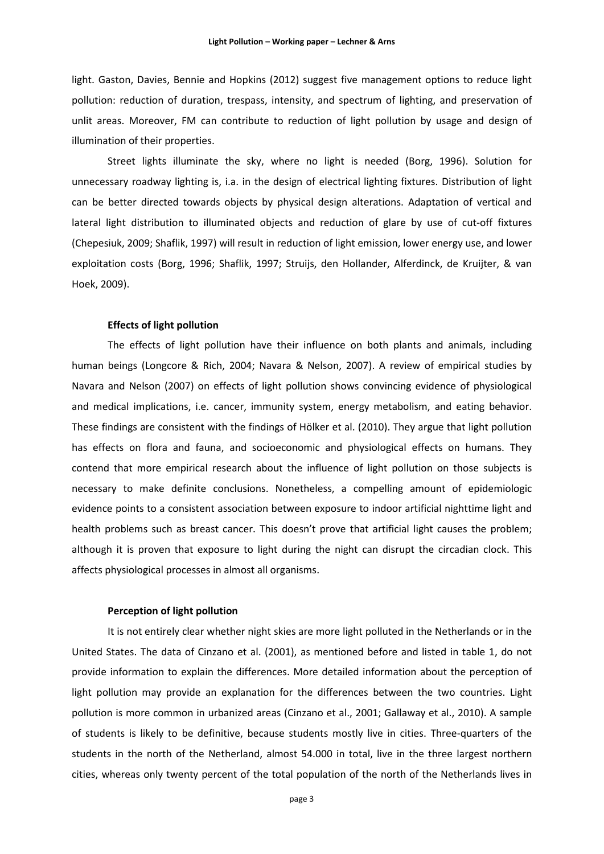light. Gaston, Davies, Bennie and Hopkins (2012) suggest five management options to reduce light pollution: reduction of duration, trespass, intensity, and spectrum of lighting, and preservation of unlit areas. Moreover, FM can contribute to reduction of light pollution by usage and design of illumination of their properties.

Street lights illuminate the sky, where no light is needed (Borg, 1996). Solution for unnecessary roadway lighting is, i.a. in the design of electrical lighting fixtures. Distribution of light can be better directed towards objects by physical design alterations. Adaptation of vertical and lateral light distribution to illuminated objects and reduction of glare by use of cut-off fixtures (Chepesiuk, 2009; Shaflik, 1997) will result in reduction of light emission, lower energy use, and lower exploitation costs (Borg, 1996; Shaflik, 1997; Struijs, den Hollander, Alferdinck, de Kruijter, & van Hoek, 2009).

### **Effects of light pollution**

The effects of light pollution have their influence on both plants and animals, including human beings (Longcore & Rich, 2004; Navara & Nelson, 2007). A review of empirical studies by Navara and Nelson (2007) on effects of light pollution shows convincing evidence of physiological and medical implications, i.e. cancer, immunity system, energy metabolism, and eating behavior. These findings are consistent with the findings of Hölker et al. (2010). They argue that light pollution has effects on flora and fauna, and socioeconomic and physiological effects on humans. They contend that more empirical research about the influence of light pollution on those subjects is necessary to make definite conclusions. Nonetheless, a compelling amount of epidemiologic evidence points to a consistent association between exposure to indoor artificial nighttime light and health problems such as breast cancer. This doesn't prove that artificial light causes the problem; although it is proven that exposure to light during the night can disrupt the circadian clock. This affects physiological processes in almost all organisms.

#### **Perception of light pollution**

It is not entirely clear whether night skies are more light polluted in the Netherlands or in the United States. The data of Cinzano et al. (2001), as mentioned before and listed in table 1, do not provide information to explain the differences. More detailed information about the perception of light pollution may provide an explanation for the differences between the two countries. Light pollution is more common in urbanized areas (Cinzano et al., 2001; Gallaway et al., 2010). A sample of students is likely to be definitive, because students mostly live in cities. Three-quarters of the students in the north of the Netherland, almost 54.000 in total, live in the three largest northern cities, whereas only twenty percent of the total population of the north of the Netherlands lives in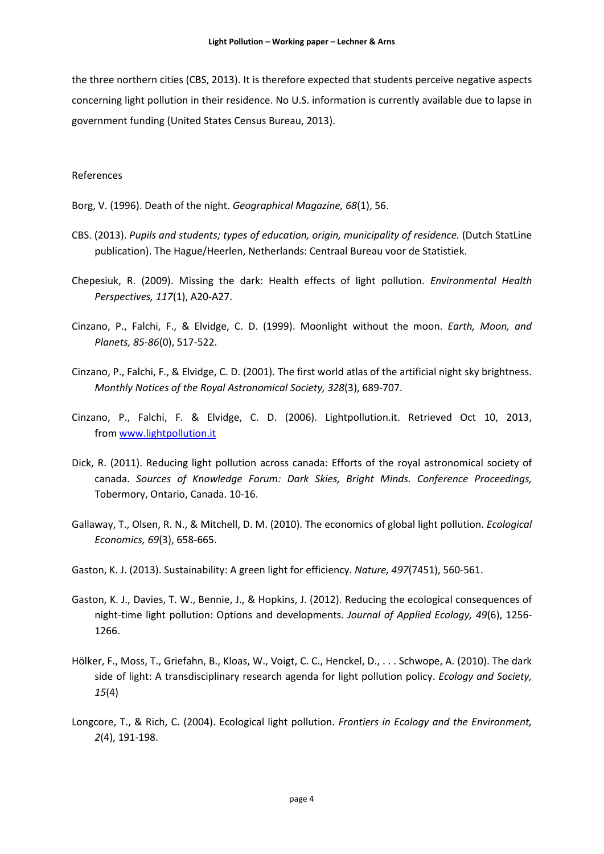the three northern cities (CBS, 2013). It is therefore expected that students perceive negative aspects concerning light pollution in their residence. No U.S. information is currently available due to lapse in government funding (United States Census Bureau, 2013).

#### References

Borg, V. (1996). Death of the night. *Geographical Magazine, 68*(1), 56.

- CBS. (2013). *Pupils and students; types of education, origin, municipality of residence.* (Dutch StatLine publication). The Hague/Heerlen, Netherlands: Centraal Bureau voor de Statistiek.
- Chepesiuk, R. (2009). Missing the dark: Health effects of light pollution. *Environmental Health Perspectives, 117*(1), A20-A27.
- Cinzano, P., Falchi, F., & Elvidge, C. D. (1999). Moonlight without the moon. *Earth, Moon, and Planets, 85-86*(0), 517-522.
- Cinzano, P., Falchi, F., & Elvidge, C. D. (2001). The first world atlas of the artificial night sky brightness. *Monthly Notices of the Royal Astronomical Society, 328*(3), 689-707.
- Cinzano, P., Falchi, F. & Elvidge, C. D. (2006). Lightpollution.it. Retrieved Oct 10, 2013, fro[m www.lightpollution.it](http://www.lightpollution.it/)
- Dick, R. (2011). Reducing light pollution across canada: Efforts of the royal astronomical society of canada. *Sources of Knowledge Forum: Dark Skies, Bright Minds. Conference Proceedings,*  Tobermory, Ontario, Canada. 10-16.
- Gallaway, T., Olsen, R. N., & Mitchell, D. M. (2010). The economics of global light pollution. *Ecological Economics, 69*(3), 658-665.
- Gaston, K. J. (2013). Sustainability: A green light for efficiency. *Nature, 497*(7451), 560-561.
- Gaston, K. J., Davies, T. W., Bennie, J., & Hopkins, J. (2012). Reducing the ecological consequences of night-time light pollution: Options and developments. *Journal of Applied Ecology, 49*(6), 1256- 1266.
- Hölker, F., Moss, T., Griefahn, B., Kloas, W., Voigt, C. C., Henckel, D., . . . Schwope, A. (2010). The dark side of light: A transdisciplinary research agenda for light pollution policy. *Ecology and Society, 15*(4)
- Longcore, T., & Rich, C. (2004). Ecological light pollution. *Frontiers in Ecology and the Environment, 2*(4), 191-198.